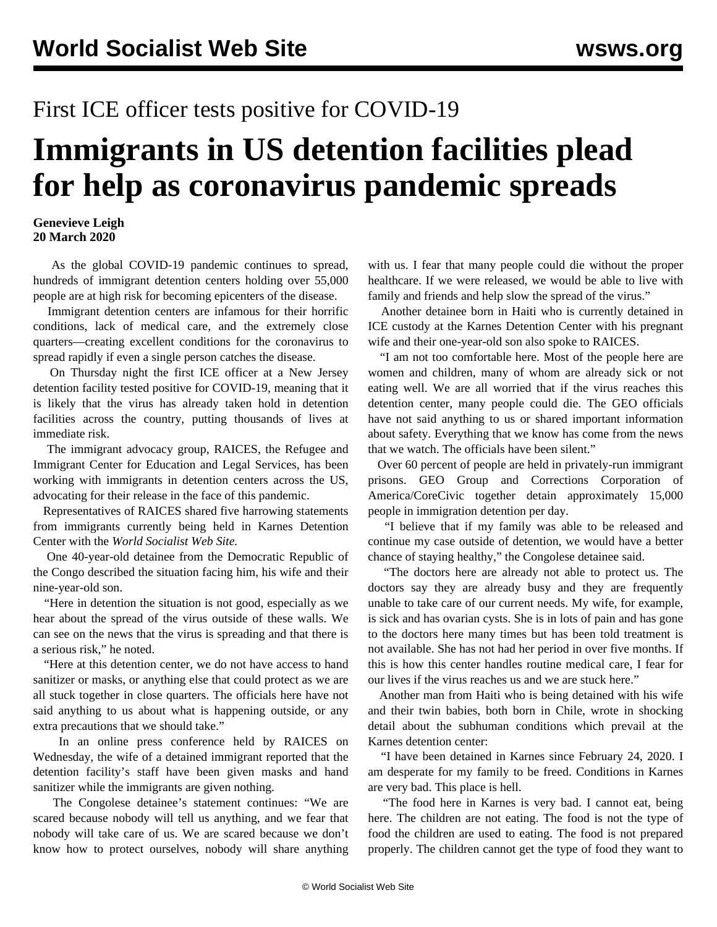## First ICE officer tests positive for COVID-19

## **Immigrants in US detention facilities plead for help as coronavirus pandemic spreads**

## **Genevieve Leigh 20 March 2020**

 As the global COVID-19 pandemic continues to spread, hundreds of immigrant detention centers holding over 55,000 people are at high risk for becoming epicenters of the disease.

 Immigrant detention centers are infamous for their horrific conditions, lack of medical care, and the extremely close quarters—creating excellent conditions for the coronavirus to spread rapidly if even a single person catches the disease.

 On Thursday night the first ICE officer at a New Jersey detention facility tested positive for COVID-19, meaning that it is likely that the virus has already taken hold in detention facilities across the country, putting thousands of lives at immediate risk.

 The immigrant advocacy group, RAICES, the Refugee and Immigrant Center for Education and Legal Services, has been working with immigrants in detention centers across the US, advocating for their release in the face of this pandemic.

 Representatives of RAICES shared five harrowing statements from immigrants currently being held in Karnes Detention Center with the *World Socialist Web Site.*

 One 40-year-old detainee from the Democratic Republic of the Congo described the situation facing him, his wife and their nine-year-old son.

 "Here in detention the situation is not good, especially as we hear about the spread of the virus outside of these walls. We can see on the news that the virus is spreading and that there is a serious risk," he noted.

 "Here at this detention center, we do not have access to hand sanitizer or masks, or anything else that could protect as we are all stuck together in close quarters. The officials here have not said anything to us about what is happening outside, or any extra precautions that we should take."

 In an online press conference held by RAICES on Wednesday, the wife of a detained immigrant reported that the detention facility's staff have been given masks and hand sanitizer while the immigrants are given nothing.

 The Congolese detainee's statement continues: "We are scared because nobody will tell us anything, and we fear that nobody will take care of us. We are scared because we don't know how to protect ourselves, nobody will share anything with us. I fear that many people could die without the proper healthcare. If we were released, we would be able to live with family and friends and help slow the spread of the virus."

 Another detainee born in Haiti who is currently detained in ICE custody at the Karnes Detention Center with his pregnant wife and their one-year-old son also spoke to RAICES.

 "I am not too comfortable here. Most of the people here are women and children, many of whom are already sick or not eating well. We are all worried that if the virus reaches this detention center, many people could die. The GEO officials have not said anything to us or shared important information about safety. Everything that we know has come from the news that we watch. The officials have been silent."

 Over 60 percent of people are held in privately-run immigrant prisons. GEO Group and Corrections Corporation of America/CoreCivic together detain approximately 15,000 people in immigration detention per day.

 "I believe that if my family was able to be released and continue my case outside of detention, we would have a better chance of staying healthy," the Congolese detainee said.

 "The doctors here are already not able to protect us. The doctors say they are already busy and they are frequently unable to take care of our current needs. My wife, for example, is sick and has ovarian cysts. She is in lots of pain and has gone to the doctors here many times but has been told treatment is not available. She has not had her period in over five months. If this is how this center handles routine medical care, I fear for our lives if the virus reaches us and we are stuck here."

 Another man from Haiti who is being detained with his wife and their twin babies, both born in Chile, wrote in shocking detail about the subhuman conditions which prevail at the Karnes detention center:

 "I have been detained in Karnes since February 24, 2020. I am desperate for my family to be freed. Conditions in Karnes are very bad. This place is hell.

 "The food here in Karnes is very bad. I cannot eat, being here. The children are not eating. The food is not the type of food the children are used to eating. The food is not prepared properly. The children cannot get the type of food they want to